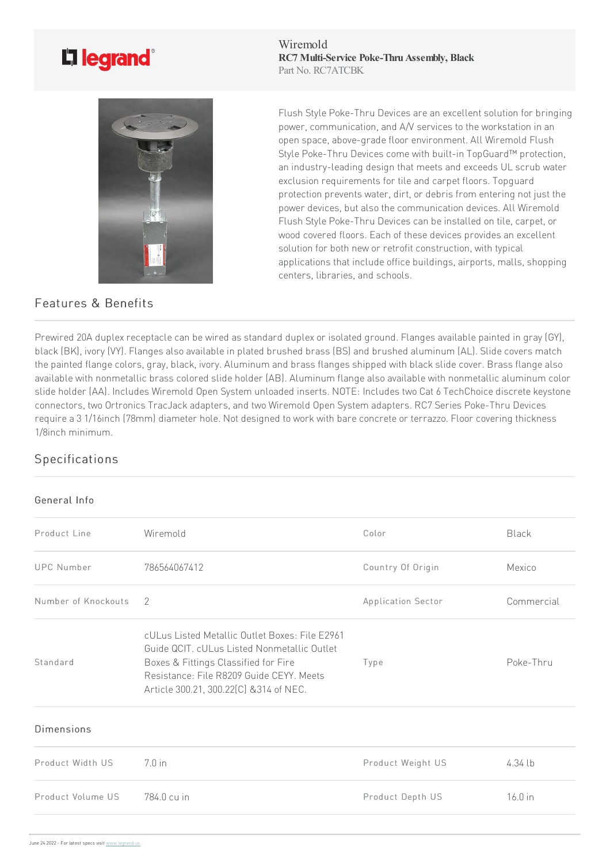## L'i legrand<sup>®</sup>



## Features & Benefits

Wiremold **RC7 Multi-Service Poke-Thru Assembly, Black** Part No. RC7ATCBK

Flush Style Poke-Thru Devices are an excellent solution for bringing power, communication, and A/V services to the workstation in an open space, above-grade floor environment. All Wiremold Flush Style Poke-Thru Devices come with built-in TopGuard™ protection, an industry-leading design that meets and exceeds UL scrub water exclusion requirements for tile and carpet floors. Topguard protection prevents water, dirt, or debris from entering not just the power devices, but also the communication devices. All Wiremold Flush Style Poke-Thru Devices can be installed on tile, carpet, or wood covered floors. Each of these devices provides an excellent solution for both new or retrofit construction, with typical applications that include office buildings, airports, malls, shopping centers, libraries, and schools.

Prewired 20A duplex receptacle can be wired as standard duplex or isolated ground. Flanges available painted in gray (GY), black (BK), ivory (VY). Flanges also available in plated brushed brass (BS) and brushed aluminum (AL). Slide covers match the painted flange colors, gray, black, ivory. Aluminum and brass flanges shipped with black slide cover. Brass flange also available with nonmetallic brass colored slide holder (AB). Aluminum flange also available with nonmetallic aluminum color slide holder (AA). Includes Wiremold Open System unloaded inserts. NOTE: Includes two Cat 6 TechChoice discrete keystone connectors, two Ortronics TracJack adapters, and two Wiremold Open System adapters. RC7 Series Poke-Thru Devices require a 3 1/16inch (78mm) diameter hole. Not designed to work with bare concrete or terrazzo. Floor covering thickness 1/8inch minimum.

## Specifications

## General Info

| Product Line        | Wiremold                                                                                                                                                                                                                     | Color              | Black      |
|---------------------|------------------------------------------------------------------------------------------------------------------------------------------------------------------------------------------------------------------------------|--------------------|------------|
| <b>UPC Number</b>   | 786564067412                                                                                                                                                                                                                 | Country Of Origin  | Mexico     |
| Number of Knockouts | -2                                                                                                                                                                                                                           | Application Sector | Commercial |
| Standard            | cULus Listed Metallic Outlet Boxes: File E2961<br>Guide QCIT. cULus Listed Nonmetallic Outlet<br>Boxes & Fittings Classified for Fire<br>Resistance: File R8209 Guide CEYY. Meets<br>Article 300.21, 300.22[C] & 314 of NEC. | Type               | Poke-Thru  |
| Dimensions          |                                                                                                                                                                                                                              |                    |            |
| Product Width US    | $7.0$ in                                                                                                                                                                                                                     | Product Weight US  | $4.34$ lb  |
| Product Volume US   | 784.0 cu in                                                                                                                                                                                                                  | Product Depth US   | $16.0$ in  |
|                     |                                                                                                                                                                                                                              |                    |            |